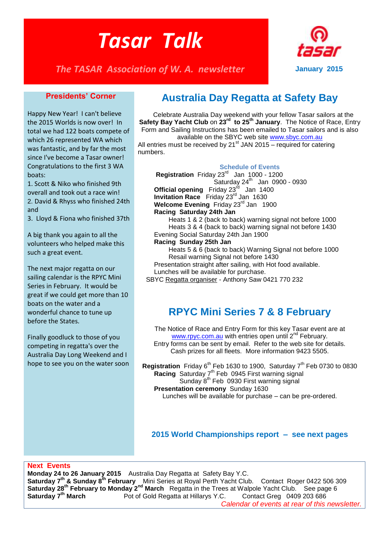# *Tasar Talk*

*The TASAR Association of W. A. newsletter* **January 2015** 



### **Presidents' Corner**

Happy New Year! I can't believe the 2015 Worlds is now over! In total we had 122 boats compete of which 26 represented WA which was fantastic, and by far the most since I've become a Tasar owner! Congratulations to the first 3 WA boats:

1. Scott & Niko who finished 9th overall and took out a race win! 2. David & Rhyss who finished 24th and

3. Lloyd & Fiona who finished 37th

A big thank you again to all the volunteers who helped make this such a great event.

The next major regatta on our sailing calendar is the RPYC Mini Series in February. It would be great if we could get more than 10 boats on the water and a wonderful chance to tune up before the States.

Finally goodluck to those of you competing in regatta's over the Australia Day Long Weekend and I hope to see you on the water soon

# **Australia Day Regatta at Safety Bay**

 Celebrate Australia Day weekend with your fellow Tasar sailors at the Safety Bay Yacht Club on 23<sup>rd</sup> to 25<sup>th</sup> January. The Notice of Race, Entry Form and Sailing Instructions has been emailed to Tasar sailors and is also

available on the SBYC web site [www.sbyc.com.au](http://www.sbyc.com.au/) All entries must be received by  $21^{st}$  JAN 2015 – required for catering numbers.

#### **Schedule of Events**

 **Registration** Friday 23rd Jan 1000 - 1200  $S$ aturday 24<sup>th</sup> Jan 0900 - 0930 **Official opening** Friday 23<sup>rd</sup> Jan 1400  **Invitation Race** Friday 23rd Jan 1630 Welcome Evening Friday 23<sup>rd</sup> Jan 1900  **Racing Saturday 24th Jan**

 Heats 1 & 2 (back to back) warning signal not before 1000 Heats 3 & 4 (back to back) warning signal not before 1430 Evening Social Saturday 24th Jan 1900

### **Racing Sunday 25th Jan**

 Heats 5 & 6 (back to back) Warning Signal not before 1000 Resail warning Signal not before 1430

Presentation straight after sailing, with Hot food available.

Lunches will be available for purchase.

SBYC Regatta organiser - Anthony Saw 0421 770 232

# **RPYC Mini Series 7 & 8 February**

The Notice of Race and Entry Form for this key Tasar event are at [www.rpyc.com.au](http://www.rpyc.com.au/) with entries open until 2<sup>nd</sup> February. Entry forms can be sent by email. Refer to the web site for details. Cash prizes for all fleets. More information 9423 5505.

**Registration** Friday  $6^{th}$  Feb 1630 to 1900, Saturday  $7^{th}$  Feb 0730 to 0830 **Racing** Saturday 7<sup>th</sup> Feb 0945 First warning signal Sunday  $8<sup>th</sup>$  Feb 0930 First warning signal  **Presentation ceremony** Sunday 1630 Lunches will be available for purchase – can be pre-ordered.

**2015 World Championships report – see next pages**

#### **Next Events**

**Monday 24 to 26 January 2015** Australia Day Regatta at Safety Bay Y.C. **Saturday 7 th & Sunday 8th February** Mini Series at Royal Perth Yacht Club. Contact Roger 0422 506 309 **Saturday 28th February to Monday 2nd March** Regatta in the Trees at Walpole Yacht Club. See page 6 **Saturday 7<sup>th</sup> March** Pot of Gold Regatta at Hillarys Y.C. Contact Greg 0409 203 686 *Calendar of events at rear of this newsletter.*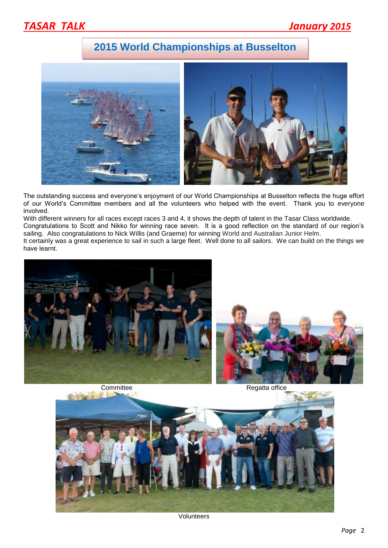# **2015 World Championships at Busselton**



The outstanding success and everyone's enjoyment of our World Championships at Busselton reflects the huge effort of our World's Committee members and all the volunteers who helped with the event. Thank you to everyone involved.

With different winners for all races except races 3 and 4, it shows the depth of talent in the Tasar Class worldwide. Congratulations to Scott and Nikko for winning race seven. It is a good reflection on the standard of our region's sailing. Also congratulations to Nick Willis (and Graeme) for winning World and Australian Junior Helm. It certainly was a great experience to sail in such a large fleet. Well done to all sailors. We can build on the things we have learnt.







Committee Regatta office



 $\overline{\phantom{a}}$ 

Volunteers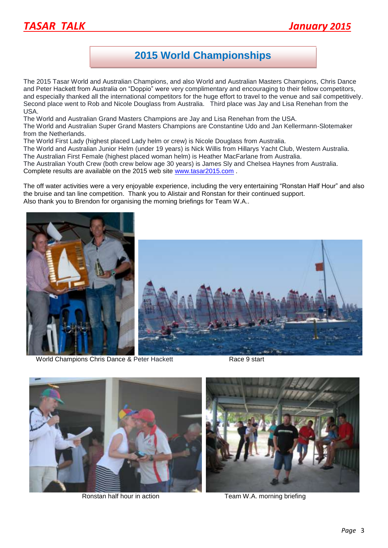

# **2015 World Championships**

The 2015 Tasar World and Australian Champions, and also World and Australian Masters Champions, Chris Dance and Peter Hackett from Australia on "Doppio" were very complimentary and encouraging to their fellow competitors, and especially thanked all the international competitors for the huge effort to travel to the venue and sail competitively. Second place went to Rob and Nicole Douglass from Australia. Third place was Jay and Lisa Renehan from the USA.

The World and Australian Grand Masters Champions are Jay and Lisa Renehan from the USA.

The World and Australian Super Grand Masters Champions are Constantine Udo and Jan Kellermann-Slotemaker from the Netherlands.

The World First Lady (highest placed Lady helm or crew) is Nicole Douglass from Australia.

The World and Australian Junior Helm (under 19 years) is Nick Willis from Hillarys Yacht Club, Western Australia.

The Australian First Female (highest placed woman helm) is Heather MacFarlane from Australia.

The Australian Youth Crew (both crew below age 30 years) is James Sly and Chelsea Haynes from Australia. Complete results are available on the 2015 web site [www.tasar2015.com](http://www.tasar2015.com/) .

The off water activities were a very enjoyable experience, including the very entertaining "Ronstan Half Hour" and also the bruise and tan line competition. Thank you to Alistair and Ronstan for their continued support. Also thank you to Brendon for organising the morning briefings for Team W.A..



World Champions Chris Dance & Peter Hackett Race 9 start





Ronstan half hour in action Team W.A. morning briefing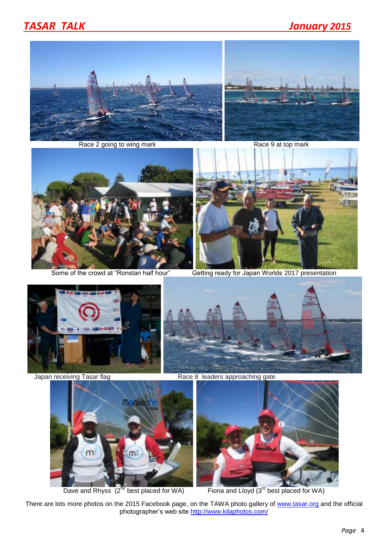# *TASAR TALK January 2015*



Race 2 going to wing mark Race 9 at top mark







Some of the crowd at "Ronstan half hour" Getting ready for Japan Worlds 2017 presentation





Japan receiving Tasar flag Race 8 leaders approaching gate



Dave and Rhyss  $(2^{n\alpha}$  best placed for WA) Fiona and Lloyd  $(3^{n\alpha}$  best placed for WA)



There are lots more photos on the 2015 Facebook page, on the TAWA photo gallery of [www.tasar.org](http://www.tasar.org/) and the official photographer's web site http://www.kilaphotos.com/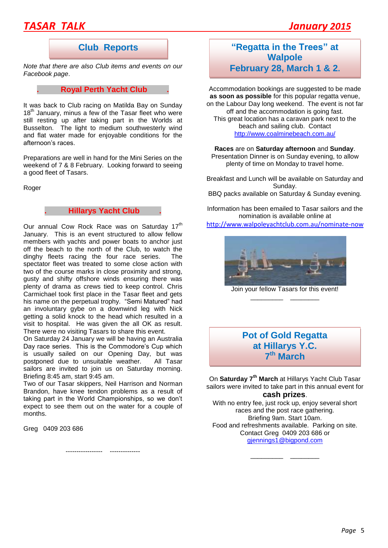# *TASAR TALK January 2015*

*Note that there are also Club items and events on our Facebook page*.

### **. Royal Perth Yacht Club .**

It was back to Club racing on Matilda Bay on Sunday 18<sup>th</sup> January, minus a few of the Tasar fleet who were still resting up after taking part in the Worlds at Busselton. The light to medium southwesterly wind and flat water made for enjoyable conditions for the afternoon's races.

Preparations are well in hand for the Mini Series on the weekend of 7 & 8 February. Looking forward to seeing a good fleet of Tasars.

Roger

### **. Hillarys Yacht Club .**

Our annual Cow Rock Race was on Saturday 17<sup>th</sup> January. This is an event structured to allow fellow members with yachts and power boats to anchor just off the beach to the north of the Club, to watch the dinghy fleets racing the four race series. The spectator fleet was treated to some close action with two of the course marks in close proximity and strong, gusty and shifty offshore winds ensuring there was plenty of drama as crews tied to keep control. Chris Carmichael took first place in the Tasar fleet and gets his name on the perpetual trophy. "Semi Matured" had an involuntary gybe on a downwind leg with Nick getting a solid knock to the head which resulted in a visit to hospital. He was given the all OK as result. There were no visiting Tasars to share this event.

On Saturday 24 January we will be having an Australia Day race series. This is the Commodore's Cup which is usually sailed on our Opening Day, but was postponed due to unsuitable weather. All Tasar sailors are invited to join us on Saturday morning. Briefing 8:45 am, start 9:45 am.

Two of our Tasar skippers, Neil Harrison and Norman Brandon, have knee tendon problems as a result of taking part in the World Championships, so we don't expect to see them out on the water for a couple of months.

----------------- --------------

Greg 0409 203 686

## **Club Reports "Regatta in the Trees" at Walpole February 28, March 1 & 2.**

Accommodation bookings are suggested to be made **as soon as possible** for this popular regatta venue, on the Labour Day long weekend. The event is not far off and the accommodation is going fast. This great location has a caravan park next to the beach and sailing club. Contact <http://www.coalminebeach.com.au/>

**Races** are on **Saturday afternoon** and **Sunday**.

Presentation Dinner is on Sunday evening, to allow plenty of time on Monday to travel home.

Breakfast and Lunch will be available on Saturday and Sunday.

BBQ packs available on Saturday & Sunday evening.

Information has been emailed to Tasar sailors and the nomination is available online at <http://www.walpoleyachtclub.com.au/nominate-now>



Join your fellow Tasars for this event! \_\_\_\_\_\_\_\_\_ \_\_\_\_\_\_\_\_

# **Pot of Gold Regatta at Hillarys Y.C. 7 th March**

On **Saturday 7th March** at Hillarys Yacht Club Tasar sailors were invited to take part in this annual event for **cash prizes**.

With no entry fee, just rock up, enjoy several short races and the post race gathering. Briefing 9am. Start 10am. Food and refreshments available. Parking on site. Contact Greg 0409 203 686 or [gjennings1@bigpond.com](mailto:gjennings1@bigpond.com)

\_\_\_\_\_\_\_\_\_ \_\_\_\_\_\_\_\_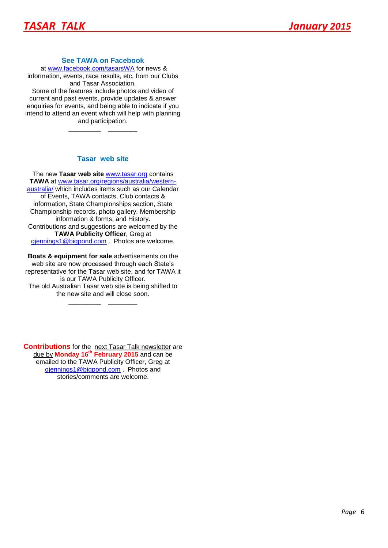#### **See TAWA on Facebook**

at [www.facebook.com/tasarsWA](http://www.facebook.com/tasarsWA) for news & information, events, race results, etc, from our Clubs and Tasar Association. Some of the features include photos and video of current and past events, provide updates & answer enquiries for events, and being able to indicate if you intend to attend an event which will help with planning and participation.

#### **Tasar web site**

\_\_\_\_\_\_\_\_\_ \_\_\_\_\_\_\_\_

The new **Tasar web site** [www.tasar.org](http://www.tasar.org/) contains **TAWA** at [www.tasar.org/regions/australia/western](http://www.tasar.org/regions/australia/western-australia/)[australia/](http://www.tasar.org/regions/australia/western-australia/) which includes items such as our Calendar of Events, TAWA contacts, Club contacts & information, State Championships section, State Championship records, photo gallery, Membership information & forms, and History. Contributions and suggestions are welcomed by the **TAWA Publicity Officer**, Greg at [gjennings1@bigpond.com](mailto:gjennings1@bigpond.com) . Photos are welcome.

**Boats & equipment for sale** advertisements on the web site are now processed through each State's representative for the Tasar web site, and for TAWA it is our TAWA Publicity Officer. The old Australian Tasar web site is being shifted to the new site and will close soon.

\_\_\_\_\_\_\_\_\_ \_\_\_\_\_\_\_\_

**Contributions** for the next Tasar Talk newsletter are due by **Monday 16 th February 2015** and can be emailed to the TAWA Publicity Officer, Greg at [gjennings1@bigpond.com](mailto:gjennings1@bigpond.com) . Photos and stories/comments are welcome.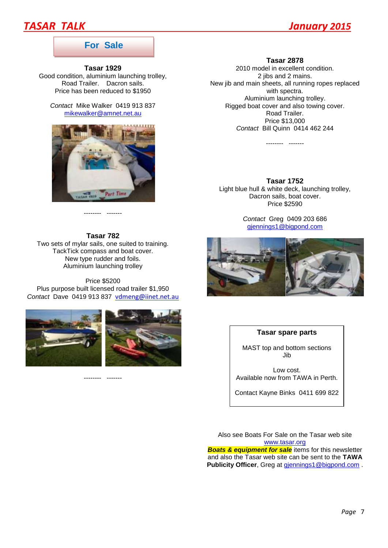# *TASAR TALK January 2015*

# **For Sale**

### **Tasar 1929**

Good condition, aluminium launching trolley, Road Trailer. Dacron sails. Price has been reduced to \$1950

*Contact* Mike Walker 0419 913 837 [mikewalker@amnet.net.au](mailto:mikewalker@amnet.net.au)



-------- -------

#### **Tasar 782**

Two sets of mylar sails, one suited to training. TackTick compass and boat cover. New type rudder and foils. Aluminium launching trolley

Price \$5200 Plus purpose built licensed road trailer \$1,950 *Contact* Dave 0419 913 837 [vdmeng@iinet.net.au](mailto:vdmeng@iinet.net.au)





-------- -------

#### **Tasar 2878**

2010 model in excellent condition. 2 jibs and 2 mains. New jib and main sheets, all running ropes replaced with spectra. Aluminium launching trolley. Rigged boat cover and also towing cover. Road Trailer. Price \$13,000 *Contact* Bill Quinn 0414 462 244

-------- -------

**Tasar 1752** Light blue hull & white deck, launching trolley, Dacron sails, boat cover. Price \$2590

> *Contact* Greg 0409 203 686 [gjennings1@bigpond.com](mailto:mikewalker@amnet.net.au)



#### **Tasar spare parts**

MAST top and bottom sections Jib

Low cost. Available now from TAWA in Perth.

Contact Kayne Binks 0411 699 822

Also see Boats For Sale on the Tasar web site [www.tasar.org](http://www.tasar.org/) **Boats & equipment for sale** items for this newsletter and also the Tasar web site can be sent to the **TAWA**  Publicity Officer, Greg at **giennings1@bigpond.com**.